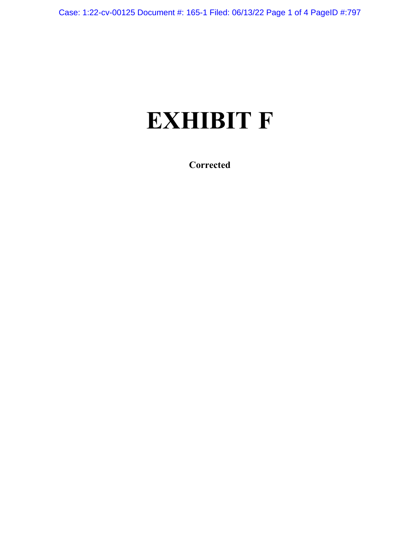# **EXHIBIT F**

**Corrected**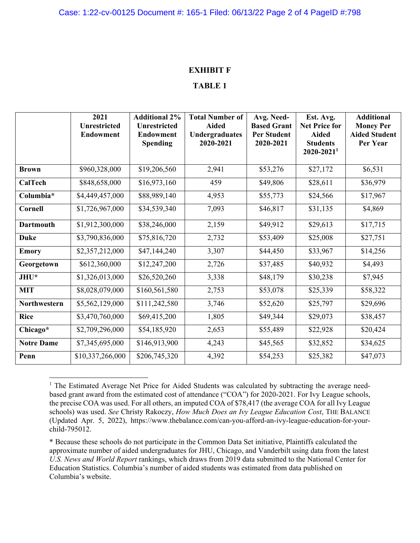#### **EXHIBIT F**

#### **TABLE 1**

|                     | 2021<br><b>Unrestricted</b><br><b>Endowment</b> | <b>Additional 2%</b><br><b>Unrestricted</b><br><b>Endowment</b><br><b>Spending</b> | <b>Total Number of</b><br><b>Aided</b><br><b>Undergraduates</b><br>2020-2021 | Avg. Need-<br><b>Based Grant</b><br><b>Per Student</b><br>2020-2021 | Est. Avg.<br><b>Net Price for</b><br><b>Aided</b><br><b>Students</b><br>$2020 - 2021$ <sup>1</sup> | <b>Additional</b><br><b>Money Per</b><br><b>Aided Student</b><br>Per Year |
|---------------------|-------------------------------------------------|------------------------------------------------------------------------------------|------------------------------------------------------------------------------|---------------------------------------------------------------------|----------------------------------------------------------------------------------------------------|---------------------------------------------------------------------------|
| <b>Brown</b>        | \$960,328,000                                   | \$19,206,560                                                                       | 2,941                                                                        | \$53,276                                                            | \$27,172                                                                                           | \$6,531                                                                   |
| CalTech             | \$848,658,000                                   | \$16,973,160                                                                       | 459                                                                          | \$49,806                                                            | \$28,611                                                                                           | \$36,979                                                                  |
| Columbia*           | \$4,449,457,000                                 | \$88,989,140                                                                       | 4,953                                                                        | \$55,773                                                            | \$24,566                                                                                           | \$17,967                                                                  |
| <b>Cornell</b>      | \$1,726,967,000                                 | \$34,539,340                                                                       | 7,093                                                                        | \$46,817                                                            | \$31,135                                                                                           | \$4,869                                                                   |
| <b>Dartmouth</b>    | \$1,912,300,000                                 | \$38,246,000                                                                       | 2,159                                                                        | \$49,912                                                            | \$29,613                                                                                           | \$17,715                                                                  |
| <b>Duke</b>         | \$3,790,836,000                                 | \$75,816,720                                                                       | 2,732                                                                        | \$53,409                                                            | \$25,008                                                                                           | \$27,751                                                                  |
| <b>Emory</b>        | \$2,357,212,000                                 | \$47,144,240                                                                       | 3,307                                                                        | \$44,450                                                            | \$33,967                                                                                           | \$14,256                                                                  |
| Georgetown          | \$612,360,000                                   | \$12,247,200                                                                       | 2,726                                                                        | \$37,485                                                            | \$40,932                                                                                           | \$4,493                                                                   |
| JHU*                | \$1,326,013,000                                 | \$26,520,260                                                                       | 3,338                                                                        | \$48,179                                                            | \$30,238                                                                                           | \$7,945                                                                   |
| <b>MIT</b>          | \$8,028,079,000                                 | \$160,561,580                                                                      | 2,753                                                                        | \$53,078                                                            | \$25,339                                                                                           | \$58,322                                                                  |
| <b>Northwestern</b> | \$5,562,129,000                                 | \$111,242,580                                                                      | 3,746                                                                        | \$52,620                                                            | \$25,797                                                                                           | \$29,696                                                                  |
| <b>Rice</b>         | \$3,470,760,000                                 | \$69,415,200                                                                       | 1,805                                                                        | \$49,344                                                            | \$29,073                                                                                           | \$38,457                                                                  |
| Chicago*            | \$2,709,296,000                                 | \$54,185,920                                                                       | 2,653                                                                        | \$55,489                                                            | \$22,928                                                                                           | \$20,424                                                                  |
| <b>Notre Dame</b>   | \$7,345,695,000                                 | \$146,913,900                                                                      | 4,243                                                                        | \$45,565                                                            | \$32,852                                                                                           | \$34,625                                                                  |
| Penn                | \$10,337,266,000                                | \$206,745,320                                                                      | 4,392                                                                        | \$54,253                                                            | \$25,382                                                                                           | \$47,073                                                                  |

<sup>&</sup>lt;sup>1</sup> The Estimated Average Net Price for Aided Students was calculated by subtracting the average needbased grant award from the estimated cost of attendance ("COA") for 2020-2021. For Ivy League schools, the precise COA was used. For all others, an imputed COA of \$78,417 (the average COA for all Ivy League schools) was used. *See* Christy Rakoczy, *How Much Does an Ivy League Education Cost*, THE BALANCE (Updated Apr. 5, 2022), https://www.thebalance.com/can-you-afford-an-ivy-league-education-for-yourchild-795012.

<sup>\*</sup> Because these schools do not participate in the Common Data Set initiative, Plaintiffs calculated the approximate number of aided undergraduates for JHU, Chicago, and Vanderbilt using data from the latest *U.S. News and World Report* rankings, which draws from 2019 data submitted to the National Center for Education Statistics. Columbia's number of aided students was estimated from data published on Columbia's website.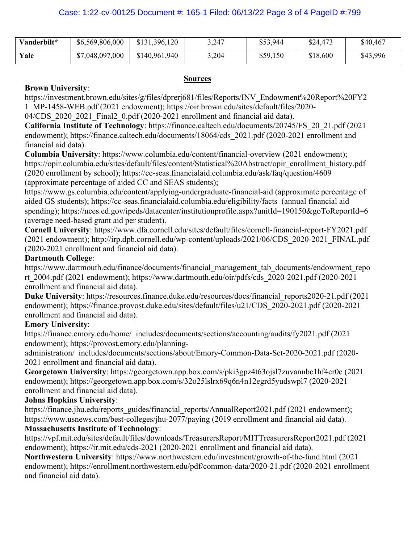| Vanderbilt* | \$6,569,806,000 | \$131,396,120 | 3,247 | \$53,944 | \$24,473 | \$40,467 |
|-------------|-----------------|---------------|-------|----------|----------|----------|
| Yale        | \$7,048,097,000 | \$140,961,940 | 3,204 | \$59,150 | \$18,600 | \$43,996 |

#### **Sources**

#### **Brown University**:

https://investment.brown.edu/sites/g/files/dprerj681/files/Reports/INV\_Endowment%20Report%20FY2 1\_MP-1458-WEB.pdf (2021 endowment); https://oir.brown.edu/sites/default/files/2020-

04/CDS 2020 2021 Final2 0.pdf (2020-2021 enrollment and financial aid data).

**California Institute of Technology**: https://finance.caltech.edu/documents/20745/FS\_20\_21.pdf (2021 endowment); https://finance.caltech.edu/documents/18064/cds 2021.pdf (2020-2021 enrollment and financial aid data).

**Columbia University**: https://www.columbia.edu/content/financial-overview (2021 endowment); https://opir.columbia.edu/sites/default/files/content/Statistical%20Abstract/opir\_enrollment\_history.pdf (2020 enrollment by school); https://cc-seas.financialaid.columbia.edu/ask/faq/question/4609 (approximate percentage of aided CC and SEAS students);

https://www.gs.columbia.edu/content/applying-undergraduate-financial-aid (approximate percentage of aided GS students); https://cc-seas.financialaid.columbia.edu/eligibility/facts (annual financial aid spending); https://nces.ed.gov/ipeds/datacenter/institutionprofile.aspx?unitId=190150&goToReportId=6 (average need-based grant aid per student).

**Cornell University**: https://www.dfa.cornell.edu/sites/default/files/cornell-financial-report-FY2021.pdf (2021 endowment); http://irp.dpb.cornell.edu/wp-content/uploads/2021/06/CDS\_2020-2021\_FINAL.pdf (2020-2021 enrollment and financial aid data).

## **Dartmouth College**:

https://www.dartmouth.edu/finance/documents/financial\_management\_tab\_documents/endowment\_repo rt\_2004.pdf (2021 endowment); https://www.dartmouth.edu/oir/pdfs/cds\_2020-2021.pdf (2020-2021 enrollment and financial aid data).

**Duke University**: https://resources.finance.duke.edu/resources/docs/financial\_reports2020-21.pdf (2021 endowment); https://finance.provost.duke.edu/sites/default/files/u21/CDS\_2020-2021.pdf (2020-2021 enrollment and financial aid data).

## **Emory University**:

https://finance.emory.edu/home/\_includes/documents/sections/accounting/audits/fy2021.pdf (2021 endowment); https://provost.emory.edu/planning-

administration/\_includes/documents/sections/about/Emory-Common-Data-Set-2020-2021.pdf (2020- 2021 enrollment and financial aid data).

**Georgetown University**: https://georgetown.app.box.com/s/pki3gpz4t63ojsl7zuvannbc1hf4cr0c (2021 endowment); https://georgetown.app.box.com/s/32o25lslrx69q6n4n12egrd5yudswpl7 (2020-2021 enrollment and financial aid data).

## **Johns Hopkins University**:

https://finance.jhu.edu/reports\_guides/financial\_reports/AnnualReport2021.pdf (2021 endowment); https://www.usnews.com/best-colleges/jhu-2077/paying (2019 enrollment and financial aid data).

## **Massachusetts Institute of Technology**:

https://vpf.mit.edu/sites/default/files/downloads/TreasurersReport/MITTreasurersReport2021.pdf (2021 endowment); https://ir.mit.edu/cds-2021 (2020-2021 enrollment and financial aid data).

**Northwestern University**: https://www.northwestern.edu/investment/growth-of-the-fund.html (2021 endowment); https://enrollment.northwestern.edu/pdf/common-data/2020-21.pdf (2020-2021 enrollment and financial aid data).